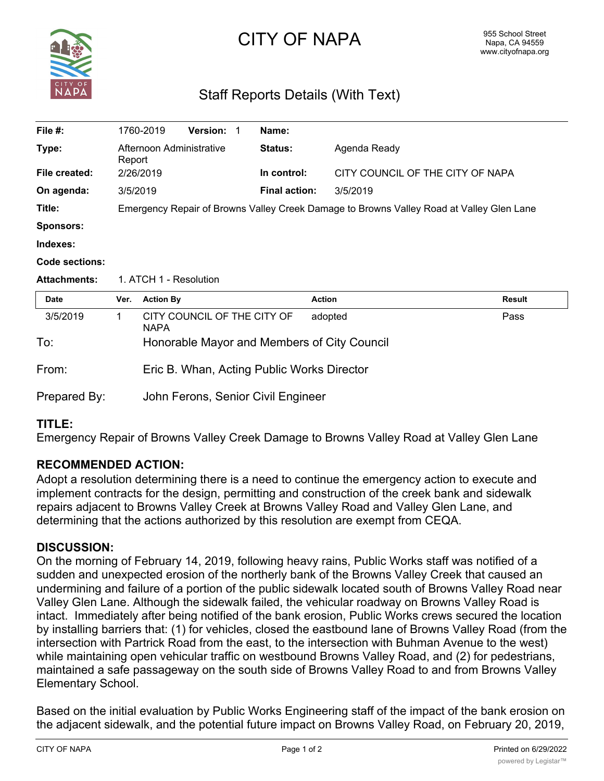

# CITY OF NAPA

# Staff Reports Details (With Text)

| File $#$ :            |                                                                                          | 1760-2019                                                   | <b>Version:</b>             |  | Name:                |               |                                  |  |
|-----------------------|------------------------------------------------------------------------------------------|-------------------------------------------------------------|-----------------------------|--|----------------------|---------------|----------------------------------|--|
| Type:                 |                                                                                          | Afternoon Administrative<br>Report<br>2/26/2019<br>3/5/2019 |                             |  | <b>Status:</b>       | Agenda Ready  |                                  |  |
| File created:         |                                                                                          |                                                             |                             |  | In control:          |               | CITY COUNCIL OF THE CITY OF NAPA |  |
| On agenda:            |                                                                                          |                                                             |                             |  | <b>Final action:</b> | 3/5/2019      |                                  |  |
| Title:                | Emergency Repair of Browns Valley Creek Damage to Browns Valley Road at Valley Glen Lane |                                                             |                             |  |                      |               |                                  |  |
| <b>Sponsors:</b>      |                                                                                          |                                                             |                             |  |                      |               |                                  |  |
| Indexes:              |                                                                                          |                                                             |                             |  |                      |               |                                  |  |
| <b>Code sections:</b> |                                                                                          |                                                             |                             |  |                      |               |                                  |  |
| <b>Attachments:</b>   | 1. ATCH 1 - Resolution                                                                   |                                                             |                             |  |                      |               |                                  |  |
| <b>Date</b>           | Ver.                                                                                     | <b>Action By</b>                                            |                             |  |                      | <b>Action</b> | <b>Result</b>                    |  |
| 3/5/2019              | 1.                                                                                       | <b>NAPA</b>                                                 | CITY COUNCIL OF THE CITY OF |  |                      | adopted       | Pass                             |  |
| To:                   | Honorable Mayor and Members of City Council                                              |                                                             |                             |  |                      |               |                                  |  |
| From:                 | Eric B. Whan, Acting Public Works Director                                               |                                                             |                             |  |                      |               |                                  |  |

## Prepared By: John Ferons, Senior Civil Engineer

#### **TITLE:**

Emergency Repair of Browns Valley Creek Damage to Browns Valley Road at Valley Glen Lane

#### **RECOMMENDED ACTION:**

Adopt a resolution determining there is a need to continue the emergency action to execute and implement contracts for the design, permitting and construction of the creek bank and sidewalk repairs adjacent to Browns Valley Creek at Browns Valley Road and Valley Glen Lane, and determining that the actions authorized by this resolution are exempt from CEQA.

#### **DISCUSSION:**

On the morning of February 14, 2019, following heavy rains, Public Works staff was notified of a sudden and unexpected erosion of the northerly bank of the Browns Valley Creek that caused an undermining and failure of a portion of the public sidewalk located south of Browns Valley Road near Valley Glen Lane. Although the sidewalk failed, the vehicular roadway on Browns Valley Road is intact. Immediately after being notified of the bank erosion, Public Works crews secured the location by installing barriers that: (1) for vehicles, closed the eastbound lane of Browns Valley Road (from the intersection with Partrick Road from the east, to the intersection with Buhman Avenue to the west) while maintaining open vehicular traffic on westbound Browns Valley Road, and (2) for pedestrians, maintained a safe passageway on the south side of Browns Valley Road to and from Browns Valley Elementary School.

Based on the initial evaluation by Public Works Engineering staff of the impact of the bank erosion on the adjacent sidewalk, and the potential future impact on Browns Valley Road, on February 20, 2019,